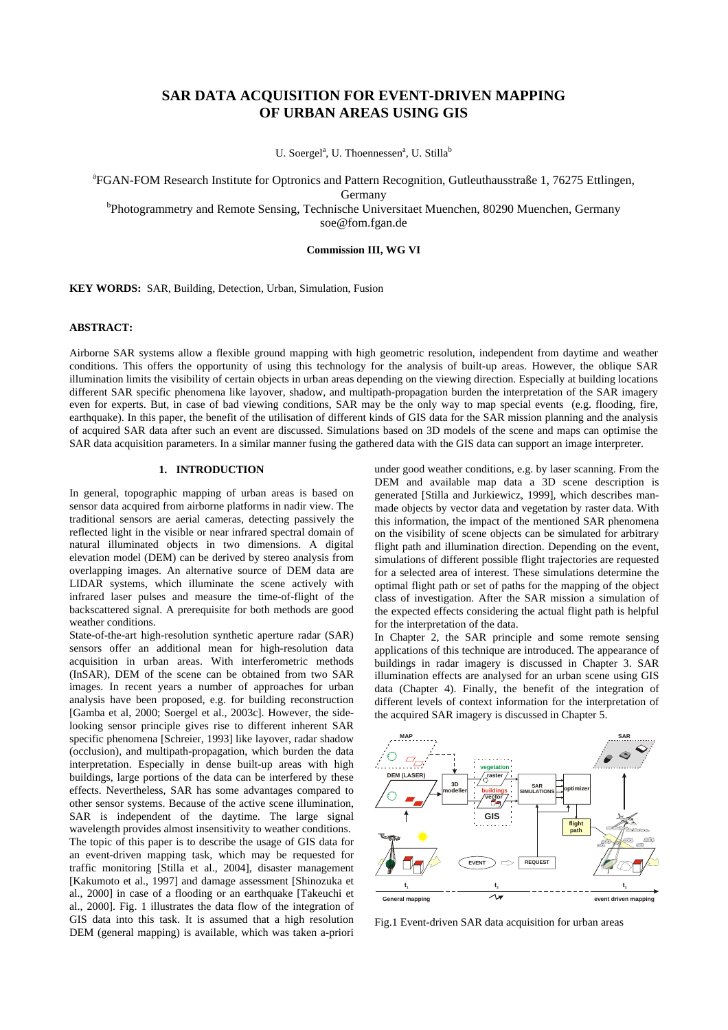# **SAR DATA ACQUISITION FOR EVENT-DRIVEN MAPPING OF URBAN AREAS USING GIS**

U. Soergel<sup>a</sup>, U. Thoennessen<sup>a</sup>, U. Stilla<sup>b</sup>

a FGAN-FOM Research Institute for Optronics and Pattern Recognition, Gutleuthausstraße 1, 76275 Ettlingen,

Germany

<sup>b</sup>Photogrammetry and Remote Sensing, Technische Universitaet Muenchen, 80290 Muenchen, Germany soe@fom.fgan.de

#### **Commission III, WG VI**

**KEY WORDS:** SAR, Building, Detection, Urban, Simulation, Fusion

# **ABSTRACT:**

Airborne SAR systems allow a flexible ground mapping with high geometric resolution, independent from daytime and weather conditions. This offers the opportunity of using this technology for the analysis of built-up areas. However, the oblique SAR illumination limits the visibility of certain objects in urban areas depending on the viewing direction. Especially at building locations different SAR specific phenomena like layover, shadow, and multipath-propagation burden the interpretation of the SAR imagery even for experts. But, in case of bad viewing conditions, SAR may be the only way to map special events (e.g. flooding, fire, earthquake). In this paper, the benefit of the utilisation of different kinds of GIS data for the SAR mission planning and the analysis of acquired SAR data after such an event are discussed. Simulations based on 3D models of the scene and maps can optimise the SAR data acquisition parameters. In a similar manner fusing the gathered data with the GIS data can support an image interpreter.

### **1. INTRODUCTION**

In general, topographic mapping of urban areas is based on sensor data acquired from airborne platforms in nadir view. The traditional sensors are aerial cameras, detecting passively the reflected light in the visible or near infrared spectral domain of natural illuminated objects in two dimensions. A digital elevation model (DEM) can be derived by stereo analysis from overlapping images. An alternative source of DEM data are LIDAR systems, which illuminate the scene actively with infrared laser pulses and measure the time-of-flight of the backscattered signal. A prerequisite for both methods are good weather conditions.

State-of-the-art high-resolution synthetic aperture radar (SAR) sensors offer an additional mean for high-resolution data acquisition in urban areas. With interferometric methods (InSAR), DEM of the scene can be obtained from two SAR images. In recent years a number of approaches for urban analysis have been proposed, e.g. for building reconstruction [Gamba et al, 2000; Soergel et al., 2003c]. However, the sidelooking sensor principle gives rise to different inherent SAR specific phenomena [Schreier, 1993] like layover, radar shadow (occlusion), and multipath-propagation, which burden the data interpretation. Especially in dense built-up areas with high buildings, large portions of the data can be interfered by these effects. Nevertheless, SAR has some advantages compared to other sensor systems. Because of the active scene illumination, SAR is independent of the daytime. The large signal wavelength provides almost insensitivity to weather conditions. The topic of this paper is to describe the usage of GIS data for an event-driven mapping task, which may be requested for traffic monitoring [Stilla et al., 2004], disaster management [Kakumoto et al., 1997] and damage assessment [Shinozuka et al., 2000] in case of a flooding or an earthquake [Takeuchi et al., 2000]. Fig. 1 illustrates the data flow of the integration of GIS data into this task. It is assumed that a high resolution DEM (general mapping) is available, which was taken a-priori

under good weather conditions, e.g. by laser scanning. From the DEM and available map data a 3D scene description is generated [Stilla and Jurkiewicz, 1999], which describes manmade objects by vector data and vegetation by raster data. With this information, the impact of the mentioned SAR phenomena on the visibility of scene objects can be simulated for arbitrary flight path and illumination direction. Depending on the event, simulations of different possible flight trajectories are requested for a selected area of interest. These simulations determine the optimal flight path or set of paths for the mapping of the object class of investigation. After the SAR mission a simulation of the expected effects considering the actual flight path is helpful for the interpretation of the data.

In Chapter 2, the SAR principle and some remote sensing applications of this technique are introduced. The appearance of buildings in radar imagery is discussed in Chapter 3. SAR illumination effects are analysed for an urban scene using GIS data (Chapter 4). Finally, the benefit of the integration of different levels of context information for the interpretation of the acquired SAR imagery is discussed in Chapter 5.



Fig.1 Event-driven SAR data acquisition for urban areas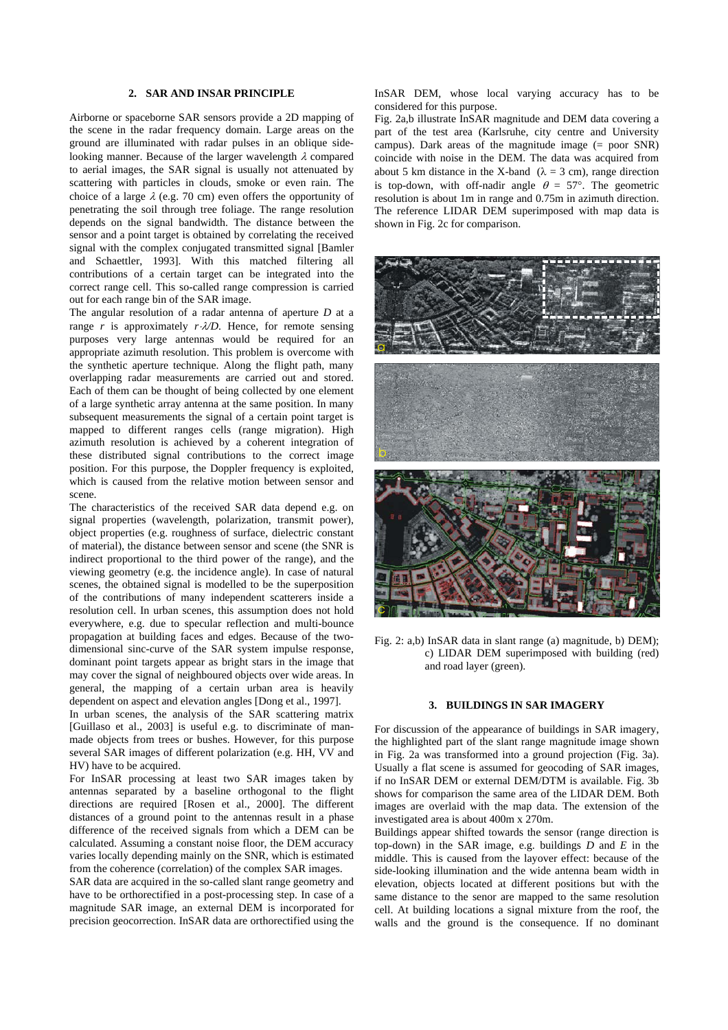### **2. SAR AND INSAR PRINCIPLE**

Airborne or spaceborne SAR sensors provide a 2D mapping of the scene in the radar frequency domain. Large areas on the ground are illuminated with radar pulses in an oblique sidelooking manner. Because of the larger wavelength  $\lambda$  compared to aerial images, the SAR signal is usually not attenuated by scattering with particles in clouds, smoke or even rain. The choice of a large  $\lambda$  (e.g. 70 cm) even offers the opportunity of penetrating the soil through tree foliage. The range resolution depends on the signal bandwidth. The distance between the sensor and a point target is obtained by correlating the received signal with the complex conjugated transmitted signal [Bamler and Schaettler, 1993]. With this matched filtering all contributions of a certain target can be integrated into the correct range cell. This so-called range compression is carried out for each range bin of the SAR image.

The angular resolution of a radar antenna of aperture *D* at a range *r* is approximately *r*⋅λ*/D*. Hence, for remote sensing purposes very large antennas would be required for an appropriate azimuth resolution. This problem is overcome with the synthetic aperture technique. Along the flight path, many overlapping radar measurements are carried out and stored. Each of them can be thought of being collected by one element of a large synthetic array antenna at the same position. In many subsequent measurements the signal of a certain point target is mapped to different ranges cells (range migration). High azimuth resolution is achieved by a coherent integration of these distributed signal contributions to the correct image position. For this purpose, the Doppler frequency is exploited, which is caused from the relative motion between sensor and scene.

The characteristics of the received SAR data depend e.g. on signal properties (wavelength, polarization, transmit power), object properties (e.g. roughness of surface, dielectric constant of material), the distance between sensor and scene (the SNR is indirect proportional to the third power of the range), and the viewing geometry (e.g. the incidence angle). In case of natural scenes, the obtained signal is modelled to be the superposition of the contributions of many independent scatterers inside a resolution cell. In urban scenes, this assumption does not hold everywhere, e.g. due to specular reflection and multi-bounce propagation at building faces and edges. Because of the twodimensional sinc-curve of the SAR system impulse response, dominant point targets appear as bright stars in the image that may cover the signal of neighboured objects over wide areas. In general, the mapping of a certain urban area is heavily dependent on aspect and elevation angles [Dong et al., 1997].

In urban scenes, the analysis of the SAR scattering matrix [Guillaso et al., 2003] is useful e.g. to discriminate of manmade objects from trees or bushes. However, for this purpose several SAR images of different polarization (e.g. HH, VV and HV) have to be acquired.

For InSAR processing at least two SAR images taken by antennas separated by a baseline orthogonal to the flight directions are required [Rosen et al., 2000]. The different distances of a ground point to the antennas result in a phase difference of the received signals from which a DEM can be calculated. Assuming a constant noise floor, the DEM accuracy varies locally depending mainly on the SNR, which is estimated from the coherence (correlation) of the complex SAR images.

SAR data are acquired in the so-called slant range geometry and have to be orthorectified in a post-processing step. In case of a magnitude SAR image, an external DEM is incorporated for precision geocorrection. InSAR data are orthorectified using the

InSAR DEM, whose local varying accuracy has to be considered for this purpose.

Fig. 2a,b illustrate InSAR magnitude and DEM data covering a part of the test area (Karlsruhe, city centre and University campus). Dark areas of the magnitude image (= poor SNR) coincide with noise in the DEM. The data was acquired from about 5 km distance in the X-band ( $\lambda = 3$  cm), range direction is top-down, with off-nadir angle  $\theta = 57^{\circ}$ . The geometric resolution is about 1m in range and 0.75m in azimuth direction. The reference LIDAR DEM superimposed with map data is shown in Fig. 2c for comparison.



Fig. 2: a,b) InSAR data in slant range (a) magnitude, b) DEM); c) LIDAR DEM superimposed with building (red) and road layer (green).

# **3. BUILDINGS IN SAR IMAGERY**

For discussion of the appearance of buildings in SAR imagery, the highlighted part of the slant range magnitude image shown in Fig. 2a was transformed into a ground projection (Fig. 3a). Usually a flat scene is assumed for geocoding of SAR images, if no InSAR DEM or external DEM/DTM is available. Fig. 3b shows for comparison the same area of the LIDAR DEM. Both images are overlaid with the map data. The extension of the investigated area is about 400m x 270m.

Buildings appear shifted towards the sensor (range direction is top-down) in the SAR image, e.g. buildings *D* and *E* in the middle. This is caused from the layover effect: because of the side-looking illumination and the wide antenna beam width in elevation, objects located at different positions but with the same distance to the senor are mapped to the same resolution cell. At building locations a signal mixture from the roof, the walls and the ground is the consequence. If no dominant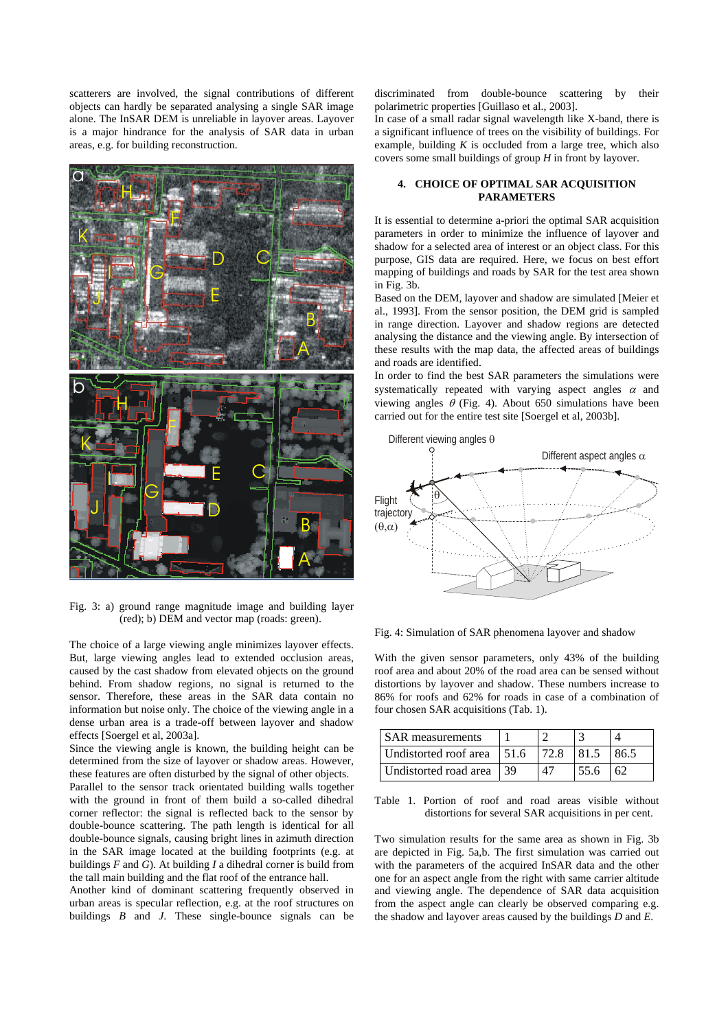scatterers are involved, the signal contributions of different objects can hardly be separated analysing a single SAR image alone. The InSAR DEM is unreliable in layover areas. Layover is a major hindrance for the analysis of SAR data in urban areas, e.g. for building reconstruction.



Fig. 3: a) ground range magnitude image and building layer (red); b) DEM and vector map (roads: green).

The choice of a large viewing angle minimizes layover effects. But, large viewing angles lead to extended occlusion areas, caused by the cast shadow from elevated objects on the ground behind. From shadow regions, no signal is returned to the sensor. Therefore, these areas in the SAR data contain no information but noise only. The choice of the viewing angle in a dense urban area is a trade-off between layover and shadow effects [Soergel et al, 2003a].

Since the viewing angle is known, the building height can be determined from the size of layover or shadow areas. However, these features are often disturbed by the signal of other objects.

Parallel to the sensor track orientated building walls together with the ground in front of them build a so-called dihedral corner reflector: the signal is reflected back to the sensor by double-bounce scattering. The path length is identical for all double-bounce signals, causing bright lines in azimuth direction in the SAR image located at the building footprints (e.g. at buildings *F* and *G*). At building *I* a dihedral corner is build from the tall main building and the flat roof of the entrance hall.

Another kind of dominant scattering frequently observed in urban areas is specular reflection, e.g. at the roof structures on buildings *B* and *J*. These single-bounce signals can be discriminated from double-bounce scattering by their polarimetric properties [Guillaso et al., 2003].

In case of a small radar signal wavelength like X-band, there is a significant influence of trees on the visibility of buildings. For example, building *K* is occluded from a large tree, which also covers some small buildings of group *H* in front by layover.

### **4. CHOICE OF OPTIMAL SAR ACQUISITION PARAMETERS**

It is essential to determine a-priori the optimal SAR acquisition parameters in order to minimize the influence of layover and shadow for a selected area of interest or an object class. For this purpose, GIS data are required. Here, we focus on best effort mapping of buildings and roads by SAR for the test area shown in Fig. 3b.

Based on the DEM, layover and shadow are simulated [Meier et al., 1993]. From the sensor position, the DEM grid is sampled in range direction. Layover and shadow regions are detected analysing the distance and the viewing angle. By intersection of these results with the map data, the affected areas of buildings and roads are identified.

In order to find the best SAR parameters the simulations were systematically repeated with varying aspect angles  $\alpha$  and viewing angles  $\theta$  (Fig. 4). About 650 simulations have been carried out for the entire test site [Soergel et al, 2003b].



Fig. 4: Simulation of SAR phenomena layover and shadow

With the given sensor parameters, only 43% of the building roof area and about 20% of the road area can be sensed without distortions by layover and shadow. These numbers increase to 86% for roofs and 62% for roads in case of a combination of four chosen SAR acquisitions (Tab. 1).

| <b>SAR</b> measurements |      |      |      |      |
|-------------------------|------|------|------|------|
| Undistorted roof area   | 51.6 | 72.8 | 81.5 | 86.5 |
| Undistorted road area   | 39   |      | 55.6 |      |

Table 1. Portion of roof and road areas visible without distortions for several SAR acquisitions in per cent.

Two simulation results for the same area as shown in Fig. 3b are depicted in Fig. 5a,b. The first simulation was carried out with the parameters of the acquired InSAR data and the other one for an aspect angle from the right with same carrier altitude and viewing angle. The dependence of SAR data acquisition from the aspect angle can clearly be observed comparing e.g. the shadow and layover areas caused by the buildings *D* and *E*.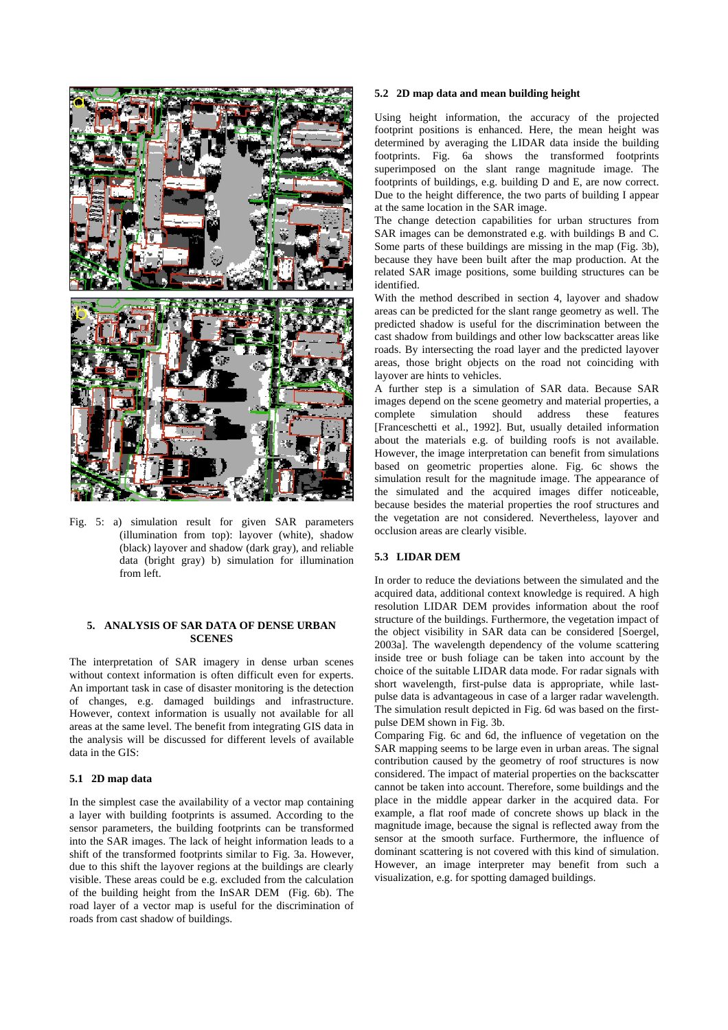

Fig. 5: a) simulation result for given SAR parameters (illumination from top): layover (white), shadow (black) layover and shadow (dark gray), and reliable data (bright gray) b) simulation for illumination from left.

### **5. ANALYSIS OF SAR DATA OF DENSE URBAN SCENES**

The interpretation of SAR imagery in dense urban scenes without context information is often difficult even for experts. An important task in case of disaster monitoring is the detection of changes, e.g. damaged buildings and infrastructure. However, context information is usually not available for all areas at the same level. The benefit from integrating GIS data in the analysis will be discussed for different levels of available data in the GIS:

#### **5.1 2D map data**

In the simplest case the availability of a vector map containing a layer with building footprints is assumed. According to the sensor parameters, the building footprints can be transformed into the SAR images. The lack of height information leads to a shift of the transformed footprints similar to Fig. 3a. However, due to this shift the layover regions at the buildings are clearly visible. These areas could be e.g. excluded from the calculation of the building height from the InSAR DEM (Fig. 6b). The road layer of a vector map is useful for the discrimination of roads from cast shadow of buildings.

# **5.2 2D map data and mean building height**

Using height information, the accuracy of the projected footprint positions is enhanced. Here, the mean height was determined by averaging the LIDAR data inside the building footprints. Fig. 6a shows the transformed footprints superimposed on the slant range magnitude image. The footprints of buildings, e.g. building D and E, are now correct. Due to the height difference, the two parts of building I appear at the same location in the SAR image.

The change detection capabilities for urban structures from SAR images can be demonstrated e.g. with buildings B and C. Some parts of these buildings are missing in the map (Fig. 3b), because they have been built after the map production. At the related SAR image positions, some building structures can be identified.

With the method described in section 4, layover and shadow areas can be predicted for the slant range geometry as well. The predicted shadow is useful for the discrimination between the cast shadow from buildings and other low backscatter areas like roads. By intersecting the road layer and the predicted layover areas, those bright objects on the road not coinciding with layover are hints to vehicles.

A further step is a simulation of SAR data. Because SAR images depend on the scene geometry and material properties, a complete simulation should address these features [Franceschetti et al., 1992]. But, usually detailed information about the materials e.g. of building roofs is not available. However, the image interpretation can benefit from simulations based on geometric properties alone. Fig. 6c shows the simulation result for the magnitude image. The appearance of the simulated and the acquired images differ noticeable, because besides the material properties the roof structures and the vegetation are not considered. Nevertheless, layover and occlusion areas are clearly visible.

# **5.3 LIDAR DEM**

In order to reduce the deviations between the simulated and the acquired data, additional context knowledge is required. A high resolution LIDAR DEM provides information about the roof structure of the buildings. Furthermore, the vegetation impact of the object visibility in SAR data can be considered [Soergel, 2003a]. The wavelength dependency of the volume scattering inside tree or bush foliage can be taken into account by the choice of the suitable LIDAR data mode. For radar signals with short wavelength, first-pulse data is appropriate, while lastpulse data is advantageous in case of a larger radar wavelength. The simulation result depicted in Fig. 6d was based on the firstpulse DEM shown in Fig. 3b.

Comparing Fig. 6c and 6d, the influence of vegetation on the SAR mapping seems to be large even in urban areas. The signal contribution caused by the geometry of roof structures is now considered. The impact of material properties on the backscatter cannot be taken into account. Therefore, some buildings and the place in the middle appear darker in the acquired data. For example, a flat roof made of concrete shows up black in the magnitude image, because the signal is reflected away from the sensor at the smooth surface. Furthermore, the influence of dominant scattering is not covered with this kind of simulation. However, an image interpreter may benefit from such a visualization, e.g. for spotting damaged buildings.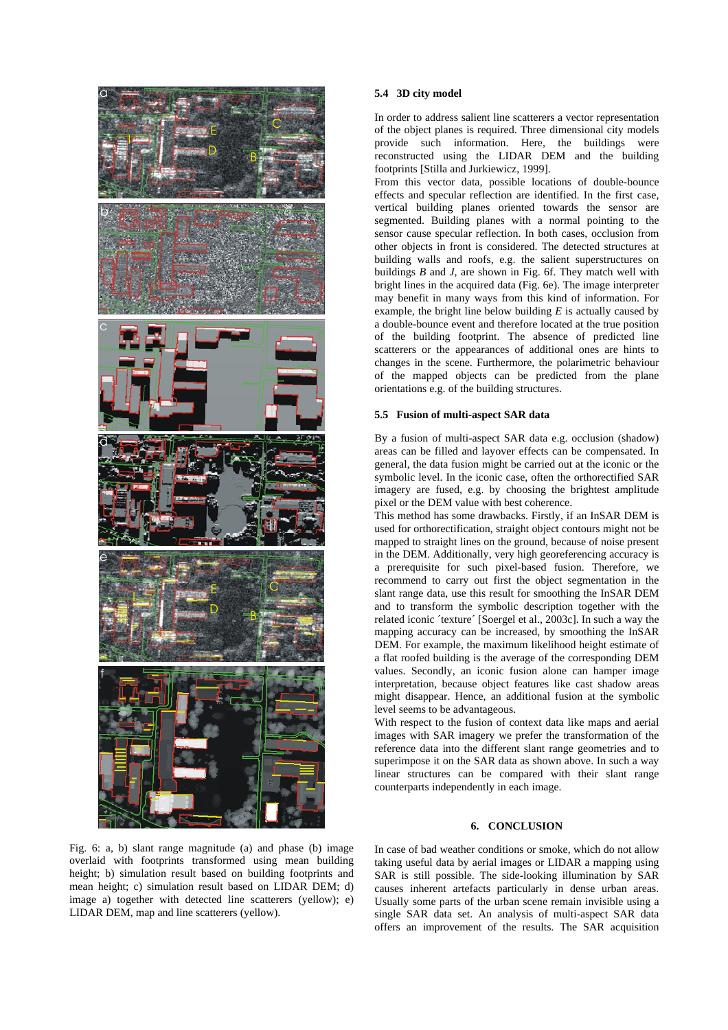

# **5.4 3D city model**

In order to address salient line scatterers a vector representation of the object planes is required. Three dimensional city models provide such information. Here, the buildings were reconstructed using the LIDAR DEM and the building footprints [Stilla and Jurkiewicz, 1999].

From this vector data, possible locations of double-bounce effects and specular reflection are identified. In the first case, vertical building planes oriented towards the sensor are segmented. Building planes with a normal pointing to the sensor cause specular reflection. In both cases, occlusion from other objects in front is considered. The detected structures at building walls and roofs, e.g. the salient superstructures on buildings *B* and *J*, are shown in Fig. 6f. They match well with bright lines in the acquired data (Fig. 6e). The image interpreter may benefit in many ways from this kind of information. For example, the bright line below building *E* is actually caused by a double-bounce event and therefore located at the true position of the building footprint. The absence of predicted line scatterers or the appearances of additional ones are hints to changes in the scene. Furthermore, the polarimetric behaviour of the mapped objects can be predicted from the plane orientations e.g. of the building structures.

## **5.5 Fusion of multi-aspect SAR data**

By a fusion of multi-aspect SAR data e.g. occlusion (shadow) areas can be filled and layover effects can be compensated. In general, the data fusion might be carried out at the iconic or the symbolic level. In the iconic case, often the orthorectified SAR imagery are fused, e.g. by choosing the brightest amplitude pixel or the DEM value with best coherence.

This method has some drawbacks. Firstly, if an InSAR DEM is used for orthorectification, straight object contours might not be mapped to straight lines on the ground, because of noise present in the DEM. Additionally, very high georeferencing accuracy is a prerequisite for such pixel-based fusion. Therefore, we recommend to carry out first the object segmentation in the slant range data, use this result for smoothing the InSAR DEM and to transform the symbolic description together with the related iconic ´texture´ [Soergel et al., 2003c]. In such a way the mapping accuracy can be increased, by smoothing the InSAR DEM. For example, the maximum likelihood height estimate of a flat roofed building is the average of the corresponding DEM values. Secondly, an iconic fusion alone can hamper image interpretation, because object features like cast shadow areas might disappear. Hence, an additional fusion at the symbolic level seems to be advantageous.

With respect to the fusion of context data like maps and aerial images with SAR imagery we prefer the transformation of the reference data into the different slant range geometries and to superimpose it on the SAR data as shown above. In such a way linear structures can be compared with their slant range counterparts independently in each image.

#### **6. CONCLUSION**

Fig. 6: a, b) slant range magnitude (a) and phase (b) image overlaid with footprints transformed using mean building height; b) simulation result based on building footprints and mean height; c) simulation result based on LIDAR DEM; d) image a) together with detected line scatterers (yellow); e) LIDAR DEM, map and line scatterers (yellow).

In case of bad weather conditions or smoke, which do not allow taking useful data by aerial images or LIDAR a mapping using SAR is still possible. The side-looking illumination by SAR causes inherent artefacts particularly in dense urban areas. Usually some parts of the urban scene remain invisible using a single SAR data set. An analysis of multi-aspect SAR data offers an improvement of the results. The SAR acquisition